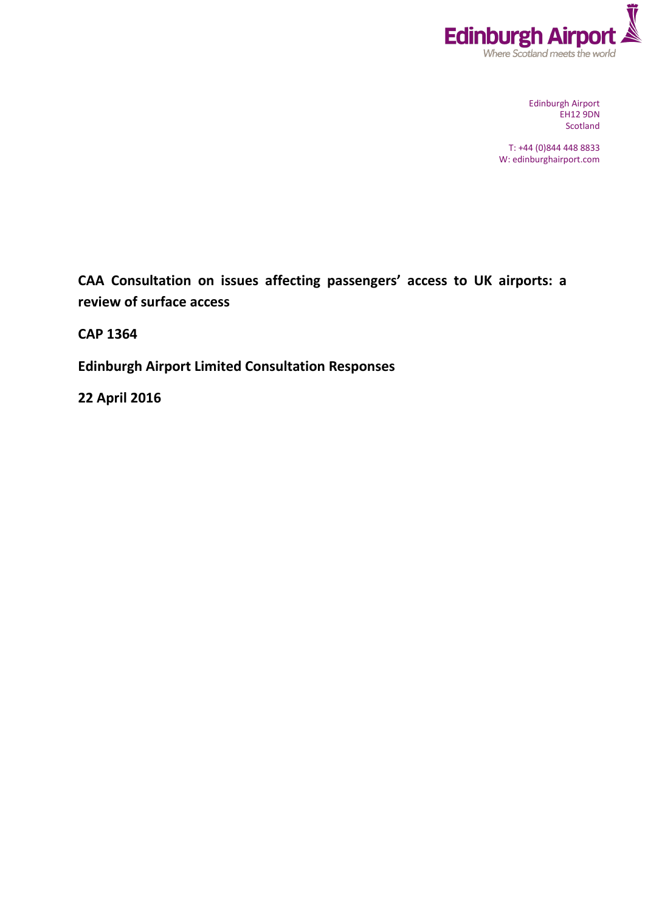

Edinburgh Airport EH12 9DN Scotland

T: +44 (0)844 448 8833 W: edinburghairport.com

**CAA Consultation on issues affecting passengers' access to UK airports: a review of surface access**

**CAP 1364**

**Edinburgh Airport Limited Consultation Responses**

**22 April 2016**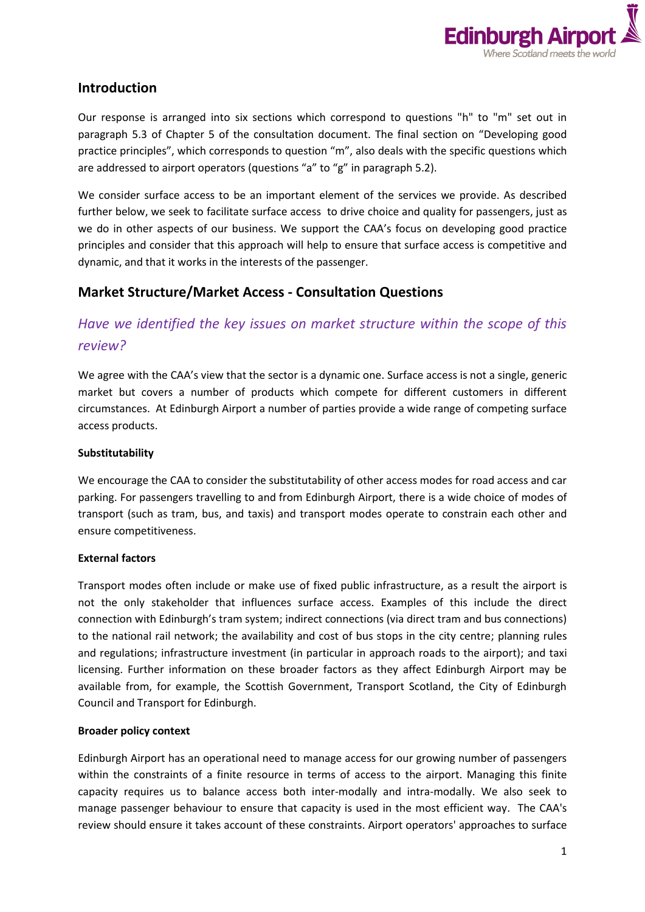

## **Introduction**

Our response is arranged into six sections which correspond to questions "h" to "m" set out in paragraph 5.3 of Chapter 5 of the consultation document. The final section on "Developing good practice principles", which corresponds to question "m", also deals with the specific questions which are addressed to airport operators (questions "a" to "g" in paragraph 5.2).

We consider surface access to be an important element of the services we provide. As described further below, we seek to facilitate surface access to drive choice and quality for passengers, just as we do in other aspects of our business. We support the CAA's focus on developing good practice principles and consider that this approach will help to ensure that surface access is competitive and dynamic, and that it works in the interests of the passenger.

## **Market Structure/Market Access - Consultation Questions**

# *Have we identified the key issues on market structure within the scope of this review?*

We agree with the CAA's view that the sector is a dynamic one. Surface access is not a single, generic market but covers a number of products which compete for different customers in different circumstances. At Edinburgh Airport a number of parties provide a wide range of competing surface access products.

### **Substitutability**

We encourage the CAA to consider the substitutability of other access modes for road access and car parking. For passengers travelling to and from Edinburgh Airport, there is a wide choice of modes of transport (such as tram, bus, and taxis) and transport modes operate to constrain each other and ensure competitiveness.

### **External factors**

Transport modes often include or make use of fixed public infrastructure, as a result the airport is not the only stakeholder that influences surface access. Examples of this include the direct connection with Edinburgh's tram system; indirect connections (via direct tram and bus connections) to the national rail network; the availability and cost of bus stops in the city centre; planning rules and regulations; infrastructure investment (in particular in approach roads to the airport); and taxi licensing. Further information on these broader factors as they affect Edinburgh Airport may be available from, for example, the Scottish Government, Transport Scotland, the City of Edinburgh Council and Transport for Edinburgh.

### **Broader policy context**

Edinburgh Airport has an operational need to manage access for our growing number of passengers within the constraints of a finite resource in terms of access to the airport. Managing this finite capacity requires us to balance access both inter-modally and intra-modally. We also seek to manage passenger behaviour to ensure that capacity is used in the most efficient way. The CAA's review should ensure it takes account of these constraints. Airport operators' approaches to surface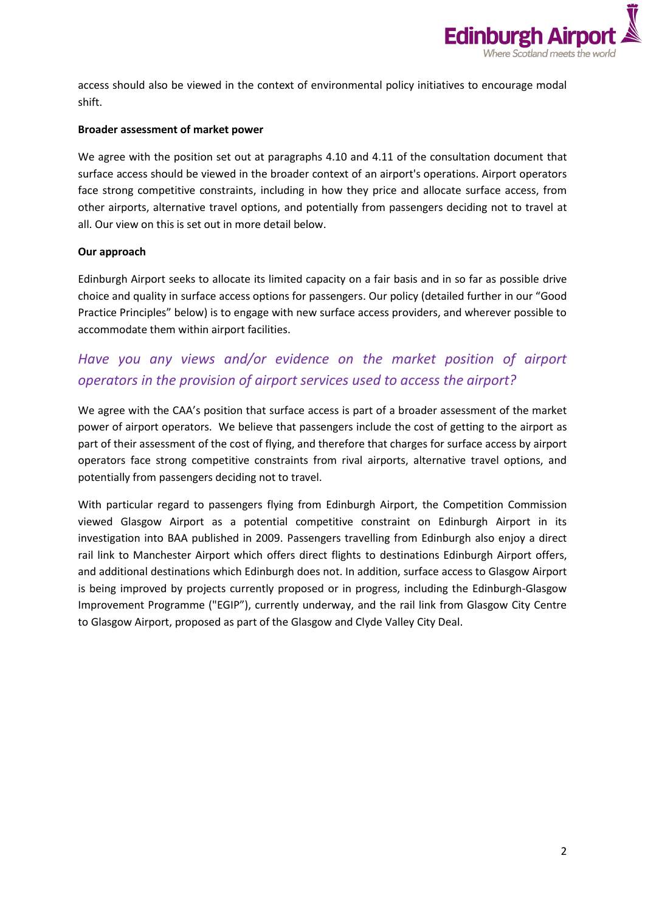

access should also be viewed in the context of environmental policy initiatives to encourage modal shift.

#### **Broader assessment of market power**

We agree with the position set out at paragraphs 4.10 and 4.11 of the consultation document that surface access should be viewed in the broader context of an airport's operations. Airport operators face strong competitive constraints, including in how they price and allocate surface access, from other airports, alternative travel options, and potentially from passengers deciding not to travel at all. Our view on this is set out in more detail below.

### **Our approach**

Edinburgh Airport seeks to allocate its limited capacity on a fair basis and in so far as possible drive choice and quality in surface access options for passengers. Our policy (detailed further in our "Good Practice Principles" below) is to engage with new surface access providers, and wherever possible to accommodate them within airport facilities.

# *Have you any views and/or evidence on the market position of airport operators in the provision of airport services used to access the airport?*

We agree with the CAA's position that surface access is part of a broader assessment of the market power of airport operators. We believe that passengers include the cost of getting to the airport as part of their assessment of the cost of flying, and therefore that charges for surface access by airport operators face strong competitive constraints from rival airports, alternative travel options, and potentially from passengers deciding not to travel.

With particular regard to passengers flying from Edinburgh Airport, the Competition Commission viewed Glasgow Airport as a potential competitive constraint on Edinburgh Airport in its investigation into BAA published in 2009. Passengers travelling from Edinburgh also enjoy a direct rail link to Manchester Airport which offers direct flights to destinations Edinburgh Airport offers, and additional destinations which Edinburgh does not. In addition, surface access to Glasgow Airport is being improved by projects currently proposed or in progress, including the Edinburgh-Glasgow Improvement Programme ("EGIP"), currently underway, and the rail link from Glasgow City Centre to Glasgow Airport, proposed as part of the Glasgow and Clyde Valley City Deal.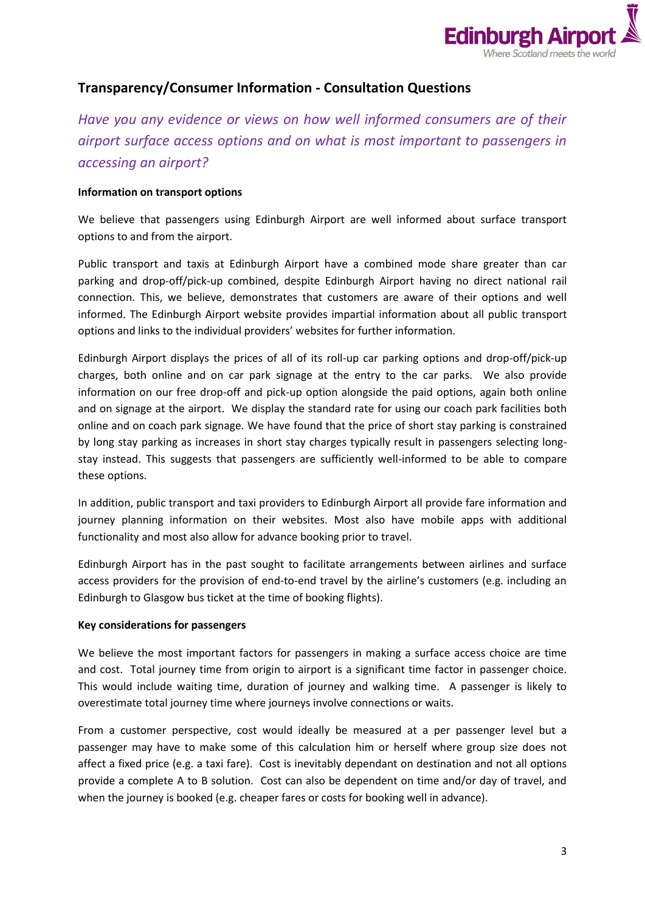

## **Transparency/Consumer Information - Consultation Questions**

*Have you any evidence or views on how well informed consumers are of their airport surface access options and on what is most important to passengers in accessing an airport?*

#### **Information on transport options**

We believe that passengers using Edinburgh Airport are well informed about surface transport options to and from the airport.

Public transport and taxis at Edinburgh Airport have a combined mode share greater than car parking and drop-off/pick-up combined, despite Edinburgh Airport having no direct national rail connection. This, we believe, demonstrates that customers are aware of their options and well informed. The Edinburgh Airport website provides impartial information about all public transport options and links to the individual providers' websites for further information.

Edinburgh Airport displays the prices of all of its roll-up car parking options and drop-off/pick-up charges, both online and on car park signage at the entry to the car parks. We also provide information on our free drop-off and pick-up option alongside the paid options, again both online and on signage at the airport. We display the standard rate for using our coach park facilities both online and on coach park signage. We have found that the price of short stay parking is constrained by long stay parking as increases in short stay charges typically result in passengers selecting longstay instead. This suggests that passengers are sufficiently well-informed to be able to compare these options.

In addition, public transport and taxi providers to Edinburgh Airport all provide fare information and journey planning information on their websites. Most also have mobile apps with additional functionality and most also allow for advance booking prior to travel.

Edinburgh Airport has in the past sought to facilitate arrangements between airlines and surface access providers for the provision of end-to-end travel by the airline's customers (e.g. including an Edinburgh to Glasgow bus ticket at the time of booking flights).

#### **Key considerations for passengers**

We believe the most important factors for passengers in making a surface access choice are time and cost. Total journey time from origin to airport is a significant time factor in passenger choice. This would include waiting time, duration of journey and walking time. A passenger is likely to overestimate total journey time where journeys involve connections or waits.

From a customer perspective, cost would ideally be measured at a per passenger level but a passenger may have to make some of this calculation him or herself where group size does not affect a fixed price (e.g. a taxi fare). Cost is inevitably dependant on destination and not all options provide a complete A to B solution. Cost can also be dependent on time and/or day of travel, and when the journey is booked (e.g. cheaper fares or costs for booking well in advance).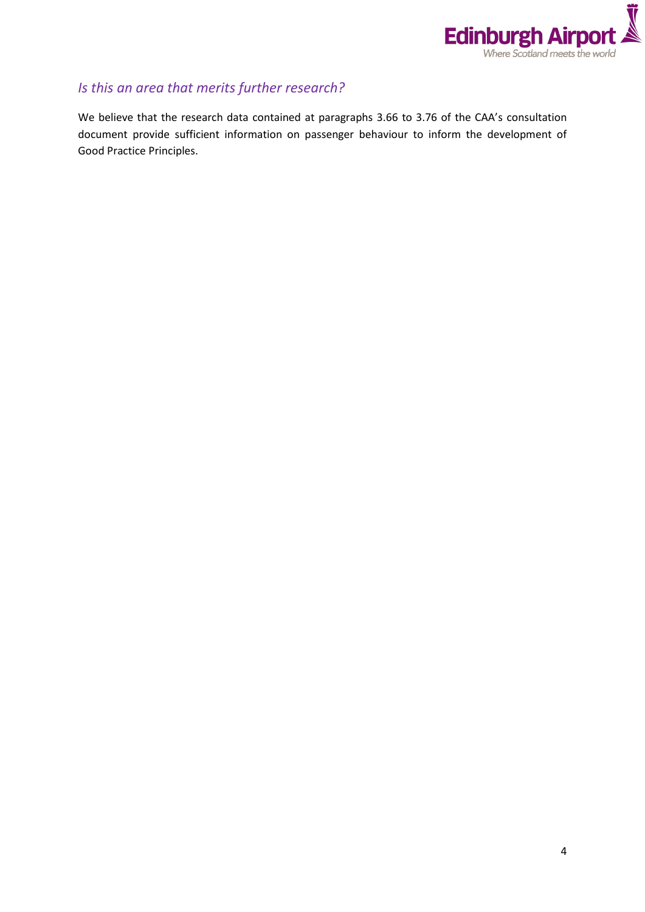

# *Is this an area that merits further research?*

We believe that the research data contained at paragraphs 3.66 to 3.76 of the CAA's consultation document provide sufficient information on passenger behaviour to inform the development of Good Practice Principles.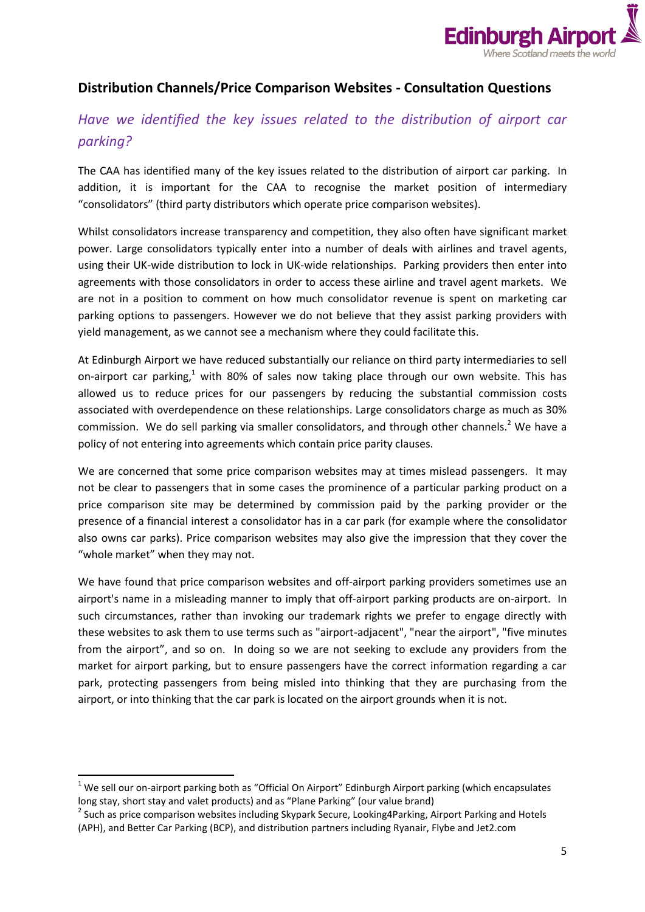

## **Distribution Channels/Price Comparison Websites - Consultation Questions**

# *Have we identified the key issues related to the distribution of airport car parking?*

The CAA has identified many of the key issues related to the distribution of airport car parking. In addition, it is important for the CAA to recognise the market position of intermediary "consolidators" (third party distributors which operate price comparison websites).

Whilst consolidators increase transparency and competition, they also often have significant market power. Large consolidators typically enter into a number of deals with airlines and travel agents, using their UK-wide distribution to lock in UK-wide relationships. Parking providers then enter into agreements with those consolidators in order to access these airline and travel agent markets. We are not in a position to comment on how much consolidator revenue is spent on marketing car parking options to passengers. However we do not believe that they assist parking providers with yield management, as we cannot see a mechanism where they could facilitate this.

At Edinburgh Airport we have reduced substantially our reliance on third party intermediaries to sell on-airport car parking,<sup>1</sup> with 80% of sales now taking place through our own website. This has allowed us to reduce prices for our passengers by reducing the substantial commission costs associated with overdependence on these relationships. Large consolidators charge as much as 30% commission. We do sell parking via smaller consolidators, and through other channels.<sup>2</sup> We have a policy of not entering into agreements which contain price parity clauses.

We are concerned that some price comparison websites may at times mislead passengers. It may not be clear to passengers that in some cases the prominence of a particular parking product on a price comparison site may be determined by commission paid by the parking provider or the presence of a financial interest a consolidator has in a car park (for example where the consolidator also owns car parks). Price comparison websites may also give the impression that they cover the "whole market" when they may not.

We have found that price comparison websites and off-airport parking providers sometimes use an airport's name in a misleading manner to imply that off-airport parking products are on-airport. In such circumstances, rather than invoking our trademark rights we prefer to engage directly with these websites to ask them to use terms such as "airport-adjacent", "near the airport", "five minutes from the airport", and so on. In doing so we are not seeking to exclude any providers from the market for airport parking, but to ensure passengers have the correct information regarding a car park, protecting passengers from being misled into thinking that they are purchasing from the airport, or into thinking that the car park is located on the airport grounds when it is not.

**.** 

 $1$  We sell our on-airport parking both as "Official On Airport" Edinburgh Airport parking (which encapsulates long stay, short stay and valet products) and as "Plane Parking" (our value brand)

<sup>&</sup>lt;sup>2</sup> Such as price comparison websites including Skypark Secure, Looking4Parking, Airport Parking and Hotels (APH), and Better Car Parking (BCP), and distribution partners including Ryanair, Flybe and Jet2.com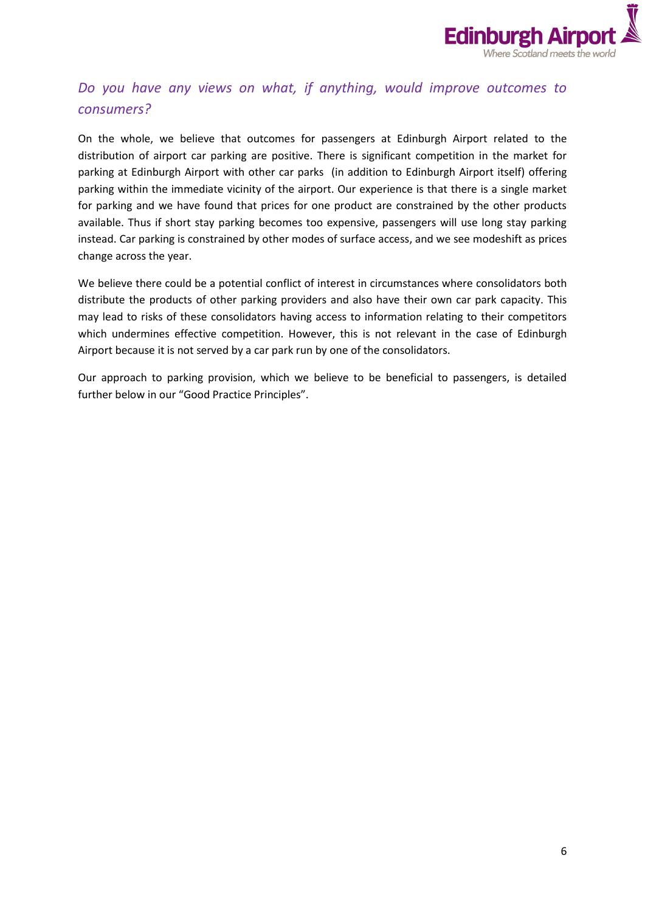

# *Do you have any views on what, if anything, would improve outcomes to consumers?*

On the whole, we believe that outcomes for passengers at Edinburgh Airport related to the distribution of airport car parking are positive. There is significant competition in the market for parking at Edinburgh Airport with other car parks (in addition to Edinburgh Airport itself) offering parking within the immediate vicinity of the airport. Our experience is that there is a single market for parking and we have found that prices for one product are constrained by the other products available. Thus if short stay parking becomes too expensive, passengers will use long stay parking instead. Car parking is constrained by other modes of surface access, and we see modeshift as prices change across the year.

We believe there could be a potential conflict of interest in circumstances where consolidators both distribute the products of other parking providers and also have their own car park capacity. This may lead to risks of these consolidators having access to information relating to their competitors which undermines effective competition. However, this is not relevant in the case of Edinburgh Airport because it is not served by a car park run by one of the consolidators.

Our approach to parking provision, which we believe to be beneficial to passengers, is detailed further below in our "Good Practice Principles".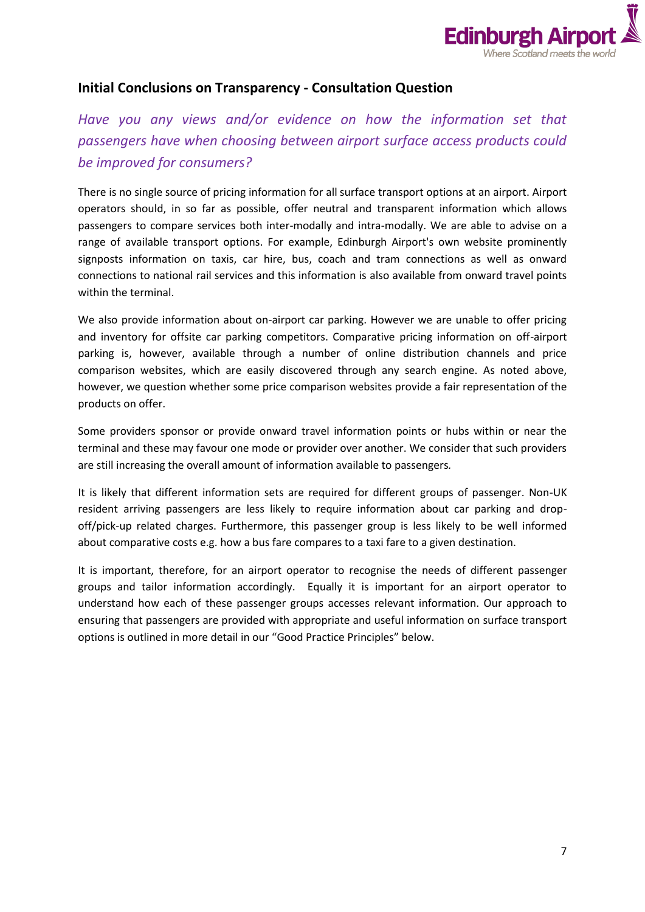

## **Initial Conclusions on Transparency - Consultation Question**

# *Have you any views and/or evidence on how the information set that passengers have when choosing between airport surface access products could be improved for consumers?*

There is no single source of pricing information for all surface transport options at an airport. Airport operators should, in so far as possible, offer neutral and transparent information which allows passengers to compare services both inter-modally and intra-modally. We are able to advise on a range of available transport options. For example, Edinburgh Airport's own website prominently signposts information on taxis, car hire, bus, coach and tram connections as well as onward connections to national rail services and this information is also available from onward travel points within the terminal.

We also provide information about on-airport car parking. However we are unable to offer pricing and inventory for offsite car parking competitors. Comparative pricing information on off-airport parking is, however, available through a number of online distribution channels and price comparison websites, which are easily discovered through any search engine. As noted above, however, we question whether some price comparison websites provide a fair representation of the products on offer.

Some providers sponsor or provide onward travel information points or hubs within or near the terminal and these may favour one mode or provider over another. We consider that such providers are still increasing the overall amount of information available to passengers*.*

It is likely that different information sets are required for different groups of passenger. Non-UK resident arriving passengers are less likely to require information about car parking and dropoff/pick-up related charges. Furthermore, this passenger group is less likely to be well informed about comparative costs e.g. how a bus fare compares to a taxi fare to a given destination.

It is important, therefore, for an airport operator to recognise the needs of different passenger groups and tailor information accordingly. Equally it is important for an airport operator to understand how each of these passenger groups accesses relevant information. Our approach to ensuring that passengers are provided with appropriate and useful information on surface transport options is outlined in more detail in our "Good Practice Principles" below.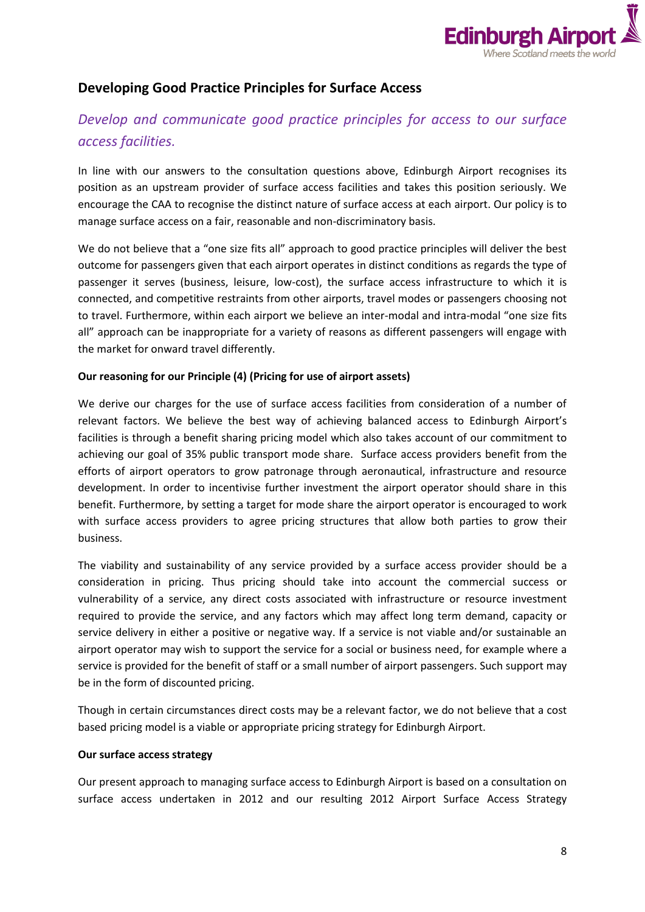

## **Developing Good Practice Principles for Surface Access**

# *Develop and communicate good practice principles for access to our surface access facilities.*

In line with our answers to the consultation questions above, Edinburgh Airport recognises its position as an upstream provider of surface access facilities and takes this position seriously. We encourage the CAA to recognise the distinct nature of surface access at each airport. Our policy is to manage surface access on a fair, reasonable and non-discriminatory basis.

We do not believe that a "one size fits all" approach to good practice principles will deliver the best outcome for passengers given that each airport operates in distinct conditions as regards the type of passenger it serves (business, leisure, low-cost), the surface access infrastructure to which it is connected, and competitive restraints from other airports, travel modes or passengers choosing not to travel. Furthermore, within each airport we believe an inter-modal and intra-modal "one size fits all" approach can be inappropriate for a variety of reasons as different passengers will engage with the market for onward travel differently.

### **Our reasoning for our Principle (4) (Pricing for use of airport assets)**

We derive our charges for the use of surface access facilities from consideration of a number of relevant factors. We believe the best way of achieving balanced access to Edinburgh Airport's facilities is through a benefit sharing pricing model which also takes account of our commitment to achieving our goal of 35% public transport mode share. Surface access providers benefit from the efforts of airport operators to grow patronage through aeronautical, infrastructure and resource development. In order to incentivise further investment the airport operator should share in this benefit. Furthermore, by setting a target for mode share the airport operator is encouraged to work with surface access providers to agree pricing structures that allow both parties to grow their business.

The viability and sustainability of any service provided by a surface access provider should be a consideration in pricing. Thus pricing should take into account the commercial success or vulnerability of a service, any direct costs associated with infrastructure or resource investment required to provide the service, and any factors which may affect long term demand, capacity or service delivery in either a positive or negative way. If a service is not viable and/or sustainable an airport operator may wish to support the service for a social or business need, for example where a service is provided for the benefit of staff or a small number of airport passengers. Such support may be in the form of discounted pricing.

Though in certain circumstances direct costs may be a relevant factor, we do not believe that a cost based pricing model is a viable or appropriate pricing strategy for Edinburgh Airport.

#### **Our surface access strategy**

Our present approach to managing surface access to Edinburgh Airport is based on a consultation on surface access undertaken in 2012 and our resulting 2012 Airport Surface Access Strategy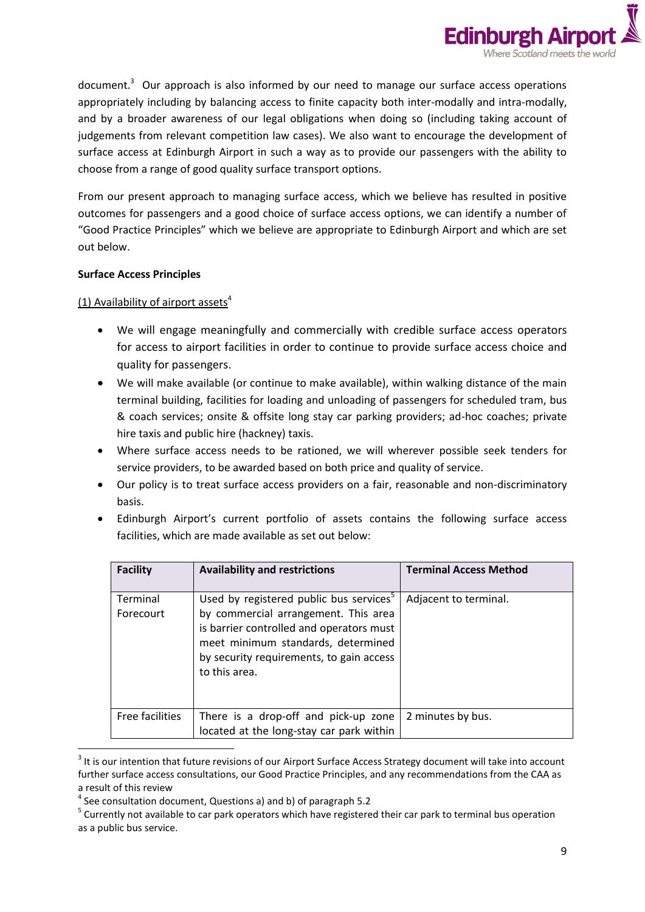

document.<sup>3</sup> Our approach is also informed by our need to manage our surface access operations appropriately including by balancing access to finite capacity both inter-modally and intra-modally, and by a broader awareness of our legal obligations when doing so (including taking account of judgements from relevant competition law cases). We also want to encourage the development of surface access at Edinburgh Airport in such a way as to provide our passengers with the ability to choose from a range of good quality surface transport options.

From our present approach to managing surface access, which we believe has resulted in positive outcomes for passengers and a good choice of surface access options, we can identify a number of "Good Practice Principles" which we believe are appropriate to Edinburgh Airport and which are set out below.

### **Surface Access Principles**

**.** 

(1) Availability of airport assets $4$ 

- We will engage meaningfully and commercially with credible surface access operators for access to airport facilities in order to continue to provide surface access choice and quality for passengers.
- We will make available (or continue to make available), within walking distance of the main terminal building, facilities for loading and unloading of passengers for scheduled tram, bus & coach services; onsite & offsite long stay car parking providers; ad-hoc coaches; private hire taxis and public hire (hackney) taxis.
- Where surface access needs to be rationed, we will wherever possible seek tenders for service providers, to be awarded based on both price and quality of service.
- Our policy is to treat surface access providers on a fair, reasonable and non-discriminatory basis.
- Edinburgh Airport's current portfolio of assets contains the following surface access facilities, which are made available as set out below:

| <b>Facility</b>       | <b>Availability and restrictions</b>                                                                                                                                                                                                       | <b>Terminal Access Method</b> |
|-----------------------|--------------------------------------------------------------------------------------------------------------------------------------------------------------------------------------------------------------------------------------------|-------------------------------|
| Terminal<br>Forecourt | Used by registered public bus services <sup>5</sup><br>by commercial arrangement. This area<br>is barrier controlled and operators must<br>meet minimum standards, determined<br>by security requirements, to gain access<br>to this area. | Adjacent to terminal.         |
| Free facilities       | There is a drop-off and pick-up zone<br>located at the long-stay car park within                                                                                                                                                           | 2 minutes by bus.             |

 $3$  It is our intention that future revisions of our Airport Surface Access Strategy document will take into account further surface access consultations, our Good Practice Principles, and any recommendations from the CAA as a result of this review

<sup>4</sup> See consultation document, Questions a) and b) of paragraph 5.2

<sup>&</sup>lt;sup>5</sup> Currently not available to car park operators which have registered their car park to terminal bus operation as a public bus service.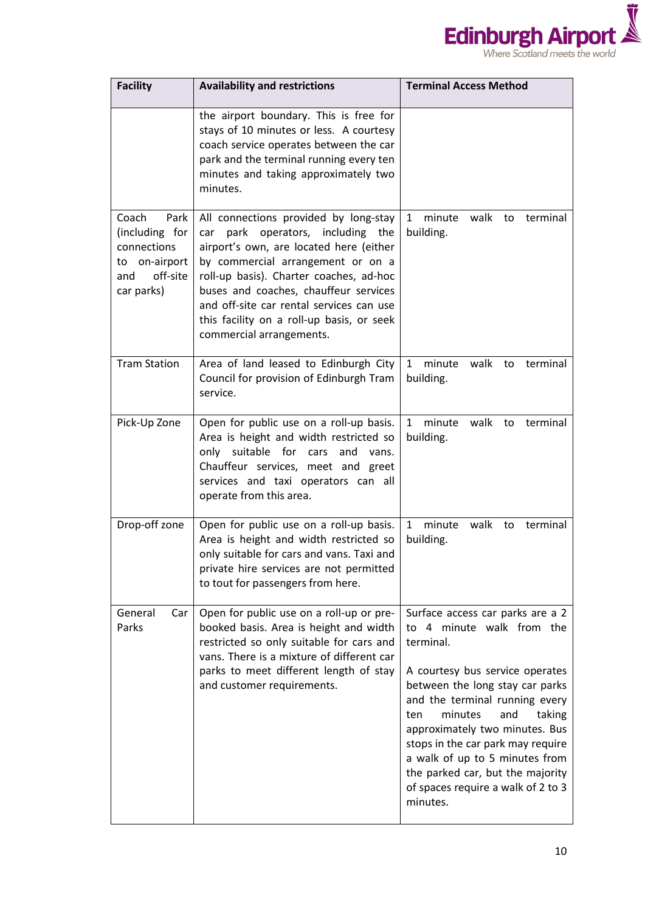

| <b>Facility</b>                                                                                  | <b>Availability and restrictions</b>                                                                                                                                                                                                                                                                                                                                   | <b>Terminal Access Method</b>                                                                                                                                                                                                                                                                                                                                                                                        |
|--------------------------------------------------------------------------------------------------|------------------------------------------------------------------------------------------------------------------------------------------------------------------------------------------------------------------------------------------------------------------------------------------------------------------------------------------------------------------------|----------------------------------------------------------------------------------------------------------------------------------------------------------------------------------------------------------------------------------------------------------------------------------------------------------------------------------------------------------------------------------------------------------------------|
|                                                                                                  | the airport boundary. This is free for<br>stays of 10 minutes or less. A courtesy<br>coach service operates between the car<br>park and the terminal running every ten<br>minutes and taking approximately two<br>minutes.                                                                                                                                             |                                                                                                                                                                                                                                                                                                                                                                                                                      |
| Coach<br>Park<br>(including for<br>connections<br>to on-airport<br>off-site<br>and<br>car parks) | All connections provided by long-stay<br>park operators, including the<br>car<br>airport's own, are located here (either<br>by commercial arrangement or on a<br>roll-up basis). Charter coaches, ad-hoc<br>buses and coaches, chauffeur services<br>and off-site car rental services can use<br>this facility on a roll-up basis, or seek<br>commercial arrangements. | minute<br>walk<br>1<br>to<br>terminal<br>building.                                                                                                                                                                                                                                                                                                                                                                   |
| <b>Tram Station</b>                                                                              | Area of land leased to Edinburgh City<br>Council for provision of Edinburgh Tram<br>service.                                                                                                                                                                                                                                                                           | minute<br>walk to<br>$\mathbf{1}$<br>terminal<br>building.                                                                                                                                                                                                                                                                                                                                                           |
| Pick-Up Zone                                                                                     | Open for public use on a roll-up basis.<br>Area is height and width restricted so<br>suitable<br>only<br>for<br>and<br>cars<br>vans.<br>Chauffeur services, meet and greet<br>services and taxi operators can all<br>operate from this area.                                                                                                                           | minute<br>walk to<br>$\mathbf{1}$<br>terminal<br>building.                                                                                                                                                                                                                                                                                                                                                           |
| Drop-off zone                                                                                    | Open for public use on a roll-up basis.<br>Area is height and width restricted so<br>only suitable for cars and vans. Taxi and<br>private hire services are not permitted<br>to tout for passengers from here.                                                                                                                                                         | minute<br>$\mathbf{1}$<br>walk to<br>terminal<br>building.                                                                                                                                                                                                                                                                                                                                                           |
| General<br>Car<br>Parks                                                                          | Open for public use on a roll-up or pre-<br>booked basis. Area is height and width<br>restricted so only suitable for cars and<br>vans. There is a mixture of different car<br>parks to meet different length of stay<br>and customer requirements.                                                                                                                    | Surface access car parks are a 2<br>to 4 minute walk from the<br>terminal.<br>A courtesy bus service operates<br>between the long stay car parks<br>and the terminal running every<br>minutes<br>and<br>taking<br>ten<br>approximately two minutes. Bus<br>stops in the car park may require<br>a walk of up to 5 minutes from<br>the parked car, but the majority<br>of spaces require a walk of 2 to 3<br>minutes. |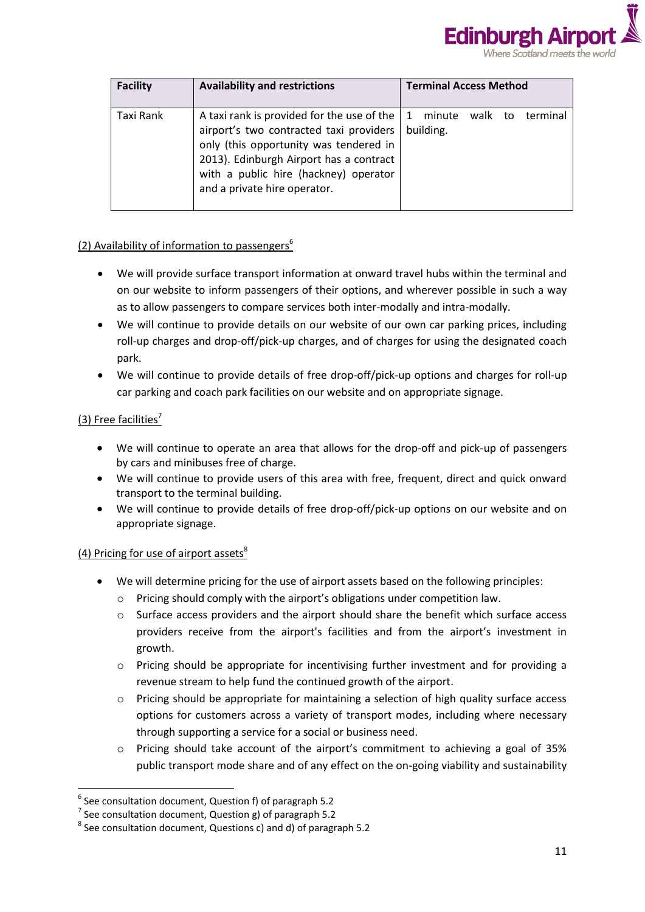

| <b>Facility</b> | <b>Availability and restrictions</b>                                                                                                                                                                                                                | <b>Terminal Access Method</b>                              |
|-----------------|-----------------------------------------------------------------------------------------------------------------------------------------------------------------------------------------------------------------------------------------------------|------------------------------------------------------------|
| Taxi Rank       | A taxi rank is provided for the use of the<br>airport's two contracted taxi providers<br>only (this opportunity was tendered in<br>2013). Edinburgh Airport has a contract<br>with a public hire (hackney) operator<br>and a private hire operator. | walk to<br>terminal<br>$\mathbf{1}$<br>minute<br>building. |

### (2) Availability of information to passengers<sup>6</sup>

- We will provide surface transport information at onward travel hubs within the terminal and on our website to inform passengers of their options, and wherever possible in such a way as to allow passengers to compare services both inter-modally and intra-modally.
- We will continue to provide details on our website of our own car parking prices, including roll-up charges and drop-off/pick-up charges, and of charges for using the designated coach park.
- We will continue to provide details of free drop-off/pick-up options and charges for roll-up car parking and coach park facilities on our website and on appropriate signage.

### (3) Free facilities<sup>7</sup>

**.** 

- We will continue to operate an area that allows for the drop-off and pick-up of passengers by cars and minibuses free of charge.
- We will continue to provide users of this area with free, frequent, direct and quick onward transport to the terminal building.
- We will continue to provide details of free drop-off/pick-up options on our website and on appropriate signage.

### (4) Pricing for use of airport assets $8$

- We will determine pricing for the use of airport assets based on the following principles:
	- Pricing should comply with the airport's obligations under competition law.
	- o Surface access providers and the airport should share the benefit which surface access providers receive from the airport's facilities and from the airport's investment in growth.
	- o Pricing should be appropriate for incentivising further investment and for providing a revenue stream to help fund the continued growth of the airport.
	- $\circ$  Pricing should be appropriate for maintaining a selection of high quality surface access options for customers across a variety of transport modes, including where necessary through supporting a service for a social or business need.
	- o Pricing should take account of the airport's commitment to achieving a goal of 35% public transport mode share and of any effect on the on-going viability and sustainability

 $<sup>6</sup>$  See consultation document, Question f) of paragraph 5.2</sup>

 $^7$  See consultation document, Question g) of paragraph 5.2

 $^8$  See consultation document, Questions c) and d) of paragraph 5.2